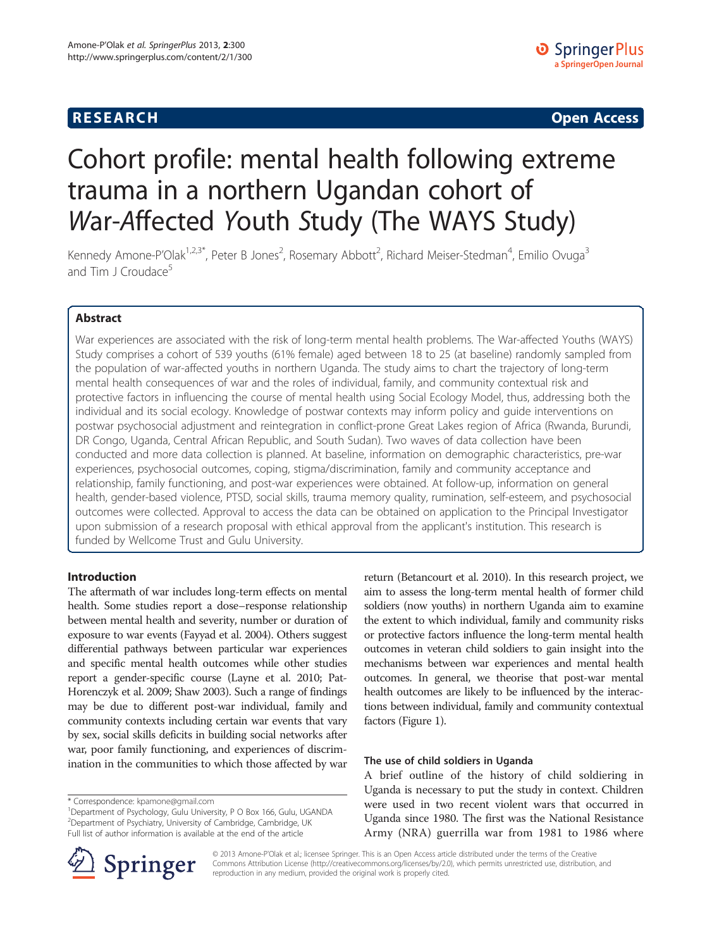# **RESEARCH CHINESE ARCH CHINESE ARCH CHINESE ARCH <b>CHINESE ARCH**

# Cohort profile: mental health following extreme trauma in a northern Ugandan cohort of War-Affected Youth Study (The WAYS Study)

Kennedy Amone-P'Olak<sup>1,2,3\*</sup>, Peter B Jones<sup>2</sup>, Rosemary Abbott<sup>2</sup>, Richard Meiser-Stedman<sup>4</sup>, Emilio Ovuga<sup>3</sup> and Tim  $\int$  Croudace<sup>5</sup>

# Abstract

War experiences are associated with the risk of long-term mental health problems. The War-affected Youths (WAYS) Study comprises a cohort of 539 youths (61% female) aged between 18 to 25 (at baseline) randomly sampled from the population of war-affected youths in northern Uganda. The study aims to chart the trajectory of long-term mental health consequences of war and the roles of individual, family, and community contextual risk and protective factors in influencing the course of mental health using Social Ecology Model, thus, addressing both the individual and its social ecology. Knowledge of postwar contexts may inform policy and guide interventions on postwar psychosocial adjustment and reintegration in conflict-prone Great Lakes region of Africa (Rwanda, Burundi, DR Congo, Uganda, Central African Republic, and South Sudan). Two waves of data collection have been conducted and more data collection is planned. At baseline, information on demographic characteristics, pre-war experiences, psychosocial outcomes, coping, stigma/discrimination, family and community acceptance and relationship, family functioning, and post-war experiences were obtained. At follow-up, information on general health, gender-based violence, PTSD, social skills, trauma memory quality, rumination, self-esteem, and psychosocial outcomes were collected. Approval to access the data can be obtained on application to the Principal Investigator upon submission of a research proposal with ethical approval from the applicant's institution. This research is funded by Wellcome Trust and Gulu University.

# Introduction

The aftermath of war includes long-term effects on mental health. Some studies report a dose–response relationship between mental health and severity, number or duration of exposure to war events (Fayyad et al. [2004\)](#page-10-0). Others suggest differential pathways between particular war experiences and specific mental health outcomes while other studies report a gender-specific course (Layne et al. [2010](#page-10-0); Pat-Horenczyk et al. [2009;](#page-10-0) Shaw [2003\)](#page-10-0). Such a range of findings may be due to different post-war individual, family and community contexts including certain war events that vary by sex, social skills deficits in building social networks after war, poor family functioning, and experiences of discrimination in the communities to which those affected by war

<sup>1</sup>Department of Psychology, Gulu University, P O Box 166, Gulu, UGANDA <sup>2</sup> Department of Psychiatry, University of Cambridge, Cambridge, UK Full list of author information is available at the end of the article

Springer

return (Betancourt et al. [2010\)](#page-10-0). In this research project, we aim to assess the long-term mental health of former child soldiers (now youths) in northern Uganda aim to examine the extent to which individual, family and community risks or protective factors influence the long-term mental health outcomes in veteran child soldiers to gain insight into the mechanisms between war experiences and mental health outcomes. In general, we theorise that post-war mental health outcomes are likely to be influenced by the interactions between individual, family and community contextual factors (Figure [1](#page-1-0)).

#### The use of child soldiers in Uganda

A brief outline of the history of child soldiering in Uganda is necessary to put the study in context. Children were used in two recent violent wars that occurred in Uganda since 1980. The first was the National Resistance Army (NRA) guerrilla war from 1981 to 1986 where

© 2013 Amone-P'Olak et al.; licensee Springer. This is an Open Access article distributed under the terms of the Creative Commons Attribution License (<http://creativecommons.org/licenses/by/2.0>), which permits unrestricted use, distribution, and reproduction in any medium, provided the original work is properly cited.

<sup>\*</sup> Correspondence: [kpamone@gmail.com](mailto:kpamone@gmail.com) <sup>1</sup>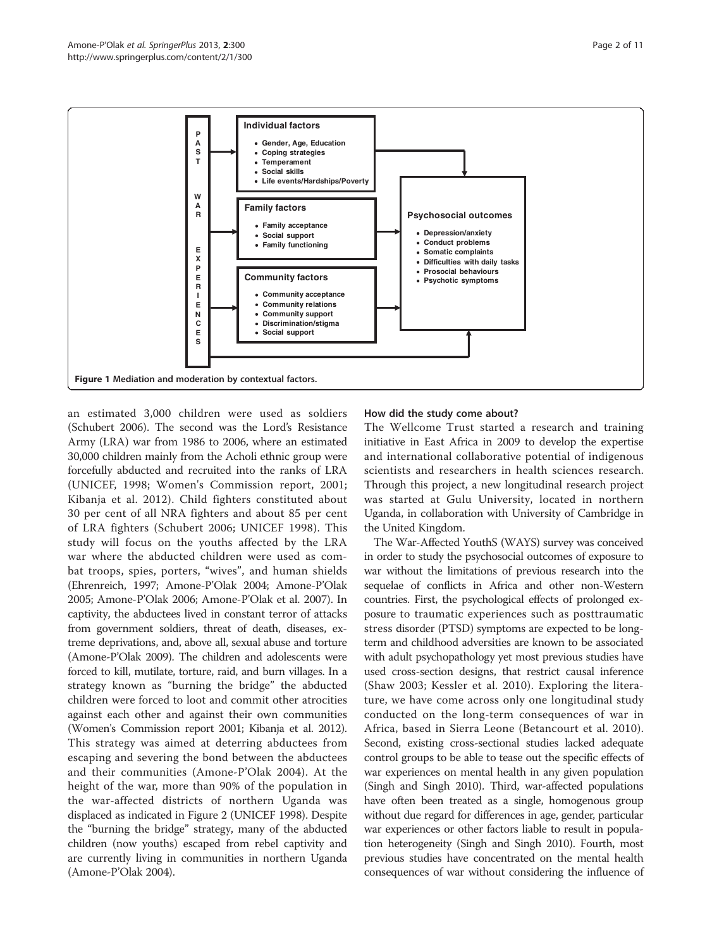<span id="page-1-0"></span>

an estimated 3,000 children were used as soldiers (Schubert [2006\)](#page-10-0). The second was the Lord's Resistance Army (LRA) war from 1986 to 2006, where an estimated 30,000 children mainly from the Acholi ethnic group were forcefully abducted and recruited into the ranks of LRA (UNICEF, [1998](#page-10-0); Women's Commission report, [2001](#page-10-0); Kibanja et al. [2012](#page-10-0)). Child fighters constituted about 30 per cent of all NRA fighters and about 85 per cent of LRA fighters (Schubert [2006;](#page-10-0) UNICEF [1998](#page-10-0)). This study will focus on the youths affected by the LRA war where the abducted children were used as combat troops, spies, porters, "wives", and human shields (Ehrenreich, [1997;](#page-10-0) Amone-P'Olak [2004](#page-10-0); Amone-P'Olak [2005;](#page-10-0) Amone-P'Olak [2006](#page-10-0); Amone-P'Olak et al. [2007\)](#page-10-0). In captivity, the abductees lived in constant terror of attacks from government soldiers, threat of death, diseases, extreme deprivations, and, above all, sexual abuse and torture (Amone-P'Olak [2009\)](#page-10-0). The children and adolescents were forced to kill, mutilate, torture, raid, and burn villages. In a strategy known as "burning the bridge" the abducted children were forced to loot and commit other atrocities against each other and against their own communities (Women's Commission report [2001](#page-10-0); Kibanja et al. [2012](#page-10-0)). This strategy was aimed at deterring abductees from escaping and severing the bond between the abductees and their communities (Amone-P'Olak [2004](#page-10-0)). At the height of the war, more than 90% of the population in the war-affected districts of northern Uganda was displaced as indicated in Figure [2](#page-2-0) (UNICEF [1998\)](#page-10-0). Despite the "burning the bridge" strategy, many of the abducted children (now youths) escaped from rebel captivity and are currently living in communities in northern Uganda (Amone-P'Olak [2004](#page-10-0)).

#### How did the study come about?

The Wellcome Trust started a research and training initiative in East Africa in 2009 to develop the expertise and international collaborative potential of indigenous scientists and researchers in health sciences research. Through this project, a new longitudinal research project was started at Gulu University, located in northern Uganda, in collaboration with University of Cambridge in the United Kingdom.

The War-Affected YouthS (WAYS) survey was conceived in order to study the psychosocial outcomes of exposure to war without the limitations of previous research into the sequelae of conflicts in Africa and other non-Western countries. First, the psychological effects of prolonged exposure to traumatic experiences such as posttraumatic stress disorder (PTSD) symptoms are expected to be longterm and childhood adversities are known to be associated with adult psychopathology yet most previous studies have used cross-section designs, that restrict causal inference (Shaw [2003;](#page-10-0) Kessler et al. [2010](#page-10-0)). Exploring the literature, we have come across only one longitudinal study conducted on the long-term consequences of war in Africa, based in Sierra Leone (Betancourt et al. [2010](#page-10-0)). Second, existing cross-sectional studies lacked adequate control groups to be able to tease out the specific effects of war experiences on mental health in any given population (Singh and Singh [2010](#page-10-0)). Third, war-affected populations have often been treated as a single, homogenous group without due regard for differences in age, gender, particular war experiences or other factors liable to result in population heterogeneity (Singh and Singh [2010](#page-10-0)). Fourth, most previous studies have concentrated on the mental health consequences of war without considering the influence of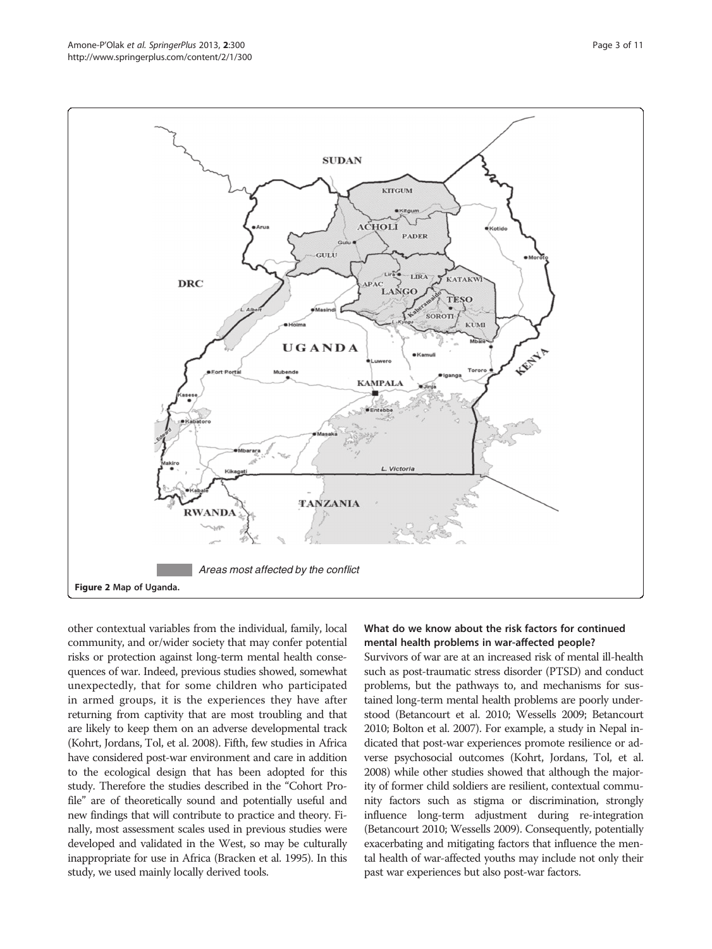other contextual variables from the individual, family, local community, and or/wider society that may confer potential risks or protection against long-term mental health consequences of war. Indeed, previous studies showed, somewhat unexpectedly, that for some children who participated in armed groups, it is the experiences they have after returning from captivity that are most troubling and that are likely to keep them on an adverse developmental track (Kohrt, Jordans, Tol, et al. [2008\)](#page-10-0). Fifth, few studies in Africa have considered post-war environment and care in addition to the ecological design that has been adopted for this study. Therefore the studies described in the "Cohort Profile" are of theoretically sound and potentially useful and new findings that will contribute to practice and theory. Finally, most assessment scales used in previous studies were developed and validated in the West, so may be culturally inappropriate for use in Africa (Bracken et al. [1995](#page-10-0)). In this study, we used mainly locally derived tools.

#### What do we know about the risk factors for continued mental health problems in war-affected people?

Survivors of war are at an increased risk of mental ill-health such as post-traumatic stress disorder (PTSD) and conduct problems, but the pathways to, and mechanisms for sustained long-term mental health problems are poorly understood (Betancourt et al. [2010](#page-10-0); Wessells [2009;](#page-10-0) Betancourt [2010;](#page-10-0) Bolton et al. [2007](#page-10-0)). For example, a study in Nepal indicated that post-war experiences promote resilience or adverse psychosocial outcomes (Kohrt, Jordans, Tol, et al. [2008\)](#page-10-0) while other studies showed that although the majority of former child soldiers are resilient, contextual community factors such as stigma or discrimination, strongly influence long-term adjustment during re-integration (Betancourt [2010](#page-10-0); Wessells [2009\)](#page-10-0). Consequently, potentially exacerbating and mitigating factors that influence the mental health of war-affected youths may include not only their past war experiences but also post-war factors.

<span id="page-2-0"></span>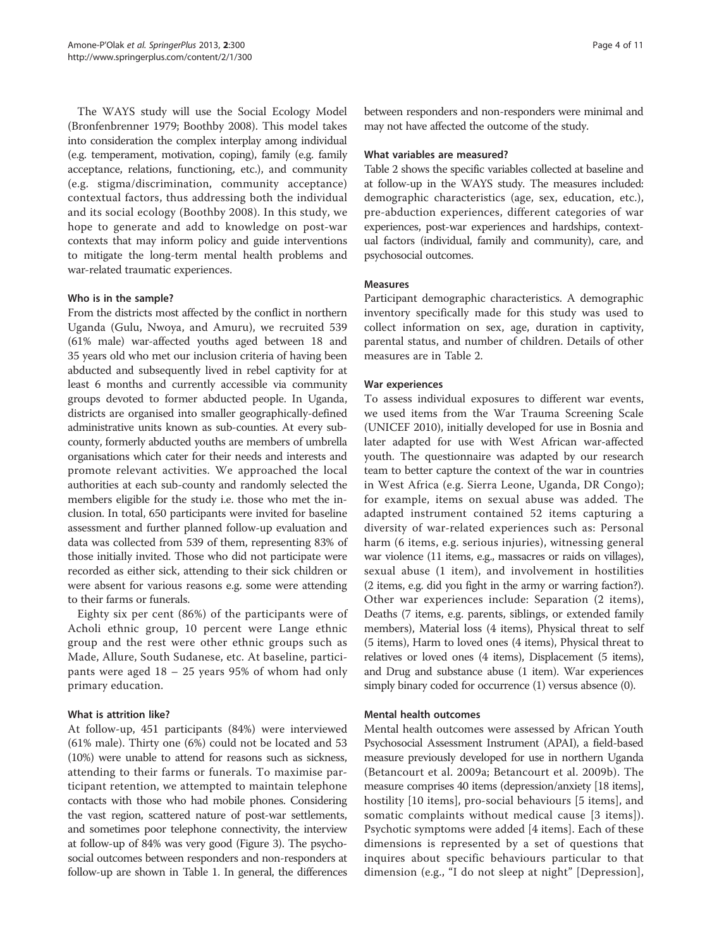The WAYS study will use the Social Ecology Model (Bronfenbrenner [1979;](#page-10-0) Boothby [2008\)](#page-10-0). This model takes into consideration the complex interplay among individual (e.g. temperament, motivation, coping), family (e.g. family acceptance, relations, functioning, etc.), and community (e.g. stigma/discrimination, community acceptance) contextual factors, thus addressing both the individual and its social ecology (Boothby [2008](#page-10-0)). In this study, we hope to generate and add to knowledge on post-war contexts that may inform policy and guide interventions to mitigate the long-term mental health problems and war-related traumatic experiences.

# Who is in the sample?

From the districts most affected by the conflict in northern Uganda (Gulu, Nwoya, and Amuru), we recruited 539 (61% male) war-affected youths aged between 18 and 35 years old who met our inclusion criteria of having been abducted and subsequently lived in rebel captivity for at least 6 months and currently accessible via community groups devoted to former abducted people. In Uganda, districts are organised into smaller geographically-defined administrative units known as sub-counties. At every subcounty, formerly abducted youths are members of umbrella organisations which cater for their needs and interests and promote relevant activities. We approached the local authorities at each sub-county and randomly selected the members eligible for the study i.e. those who met the inclusion. In total, 650 participants were invited for baseline assessment and further planned follow-up evaluation and data was collected from 539 of them, representing 83% of those initially invited. Those who did not participate were recorded as either sick, attending to their sick children or were absent for various reasons e.g. some were attending to their farms or funerals.

Eighty six per cent (86%) of the participants were of Acholi ethnic group, 10 percent were Lange ethnic group and the rest were other ethnic groups such as Made, Allure, South Sudanese, etc. At baseline, participants were aged 18 – 25 years 95% of whom had only primary education.

#### What is attrition like?

At follow-up, 451 participants (84%) were interviewed (61% male). Thirty one (6%) could not be located and 53 (10%) were unable to attend for reasons such as sickness, attending to their farms or funerals. To maximise participant retention, we attempted to maintain telephone contacts with those who had mobile phones. Considering the vast region, scattered nature of post-war settlements, and sometimes poor telephone connectivity, the interview at follow-up of 84% was very good (Figure [3\)](#page-4-0). The psychosocial outcomes between responders and non-responders at follow-up are shown in Table [1](#page-4-0). In general, the differences between responders and non-responders were minimal and may not have affected the outcome of the study.

#### What variables are measured?

Table [2](#page-5-0) shows the specific variables collected at baseline and at follow-up in the WAYS study. The measures included: demographic characteristics (age, sex, education, etc.), pre-abduction experiences, different categories of war experiences, post-war experiences and hardships, contextual factors (individual, family and community), care, and psychosocial outcomes.

## Measures

Participant demographic characteristics. A demographic inventory specifically made for this study was used to collect information on sex, age, duration in captivity, parental status, and number of children. Details of other measures are in Table [2.](#page-5-0)

#### War experiences

To assess individual exposures to different war events, we used items from the War Trauma Screening Scale (UNICEF [2010\)](#page-10-0), initially developed for use in Bosnia and later adapted for use with West African war-affected youth. The questionnaire was adapted by our research team to better capture the context of the war in countries in West Africa (e.g. Sierra Leone, Uganda, DR Congo); for example, items on sexual abuse was added. The adapted instrument contained 52 items capturing a diversity of war-related experiences such as: Personal harm (6 items, e.g. serious injuries), witnessing general war violence (11 items, e.g., massacres or raids on villages), sexual abuse (1 item), and involvement in hostilities (2 items, e.g. did you fight in the army or warring faction?). Other war experiences include: Separation (2 items), Deaths (7 items, e.g. parents, siblings, or extended family members), Material loss (4 items), Physical threat to self (5 items), Harm to loved ones (4 items), Physical threat to relatives or loved ones (4 items), Displacement (5 items), and Drug and substance abuse (1 item). War experiences simply binary coded for occurrence (1) versus absence (0).

#### Mental health outcomes

Mental health outcomes were assessed by African Youth Psychosocial Assessment Instrument (APAI), a field-based measure previously developed for use in northern Uganda (Betancourt et al. [2009a](#page-10-0); Betancourt et al. [2009b](#page-10-0)). The measure comprises 40 items (depression/anxiety [18 items], hostility [10 items], pro-social behaviours [5 items], and somatic complaints without medical cause [3 items]). Psychotic symptoms were added [4 items]. Each of these dimensions is represented by a set of questions that inquires about specific behaviours particular to that dimension (e.g., "I do not sleep at night" [Depression],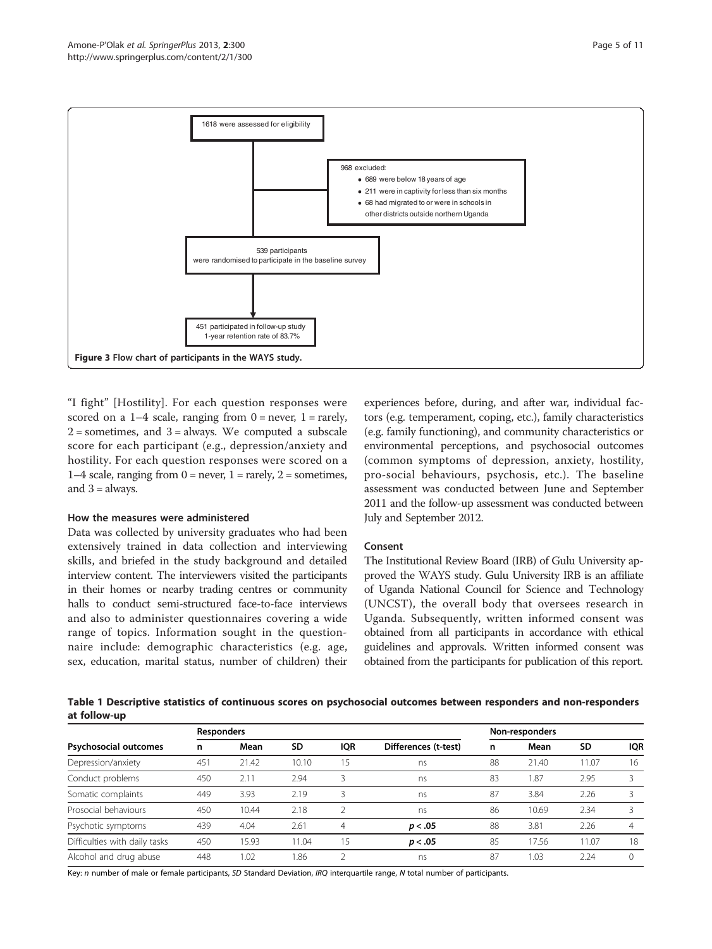<span id="page-4-0"></span>

"I fight" [Hostility]. For each question responses were scored on a  $1-4$  scale, ranging from  $0 =$  never,  $1 =$  rarely,  $2 =$  sometimes, and  $3 =$  always. We computed a subscale score for each participant (e.g., depression/anxiety and hostility. For each question responses were scored on a 1–4 scale, ranging from  $0 =$  never, 1 = rarely, 2 = sometimes, and  $3 =$  always.

### How the measures were administered

Data was collected by university graduates who had been extensively trained in data collection and interviewing skills, and briefed in the study background and detailed interview content. The interviewers visited the participants in their homes or nearby trading centres or community halls to conduct semi-structured face-to-face interviews and also to administer questionnaires covering a wide range of topics. Information sought in the questionnaire include: demographic characteristics (e.g. age, sex, education, marital status, number of children) their

experiences before, during, and after war, individual factors (e.g. temperament, coping, etc.), family characteristics (e.g. family functioning), and community characteristics or environmental perceptions, and psychosocial outcomes (common symptoms of depression, anxiety, hostility, pro-social behaviours, psychosis, etc.). The baseline assessment was conducted between June and September 2011 and the follow-up assessment was conducted between July and September 2012.

#### Consent

The Institutional Review Board (IRB) of Gulu University approved the WAYS study. Gulu University IRB is an affiliate of Uganda National Council for Science and Technology (UNCST), the overall body that oversees research in Uganda. Subsequently, written informed consent was obtained from all participants in accordance with ethical guidelines and approvals. Written informed consent was obtained from the participants for publication of this report.

Table 1 Descriptive statistics of continuous scores on psychosocial outcomes between responders and non-responders at follow-up

|                               | Responders |                   |       | Non-responders       |         |      |       |            |    |
|-------------------------------|------------|-------------------|-------|----------------------|---------|------|-------|------------|----|
| <b>Psychosocial outcomes</b>  | n          | IQR<br>SD<br>Mean |       | Differences (t-test) | n       | Mean | SD    | <b>IQR</b> |    |
| Depression/anxiety            | 451        | 21.42             | 10.10 | 15                   | ns      | 88   | 21.40 | 11.07      | 16 |
| Conduct problems              | 450        | 2.11              | 2.94  | 3                    | ns      | 83   | 87. ا | 2.95       |    |
| Somatic complaints            | 449        | 3.93              | 2.19  | ς                    | ns      | 87   | 3.84  | 2.26       |    |
| Prosocial behaviours          | 450        | 10.44             | 2.18  |                      | ns      | 86   | 10.69 | 2.34       |    |
| Psychotic symptoms            | 439        | 4.04              | 2.61  | 4                    | p < .05 | 88   | 3.81  | 2.26       |    |
| Difficulties with daily tasks | 450        | 15.93             | 11.04 | 15                   | p < .05 | 85   | 17.56 | 11.07      | 18 |
| Alcohol and drug abuse        | 448        | .02               | .86   |                      | ns      | 87   | 1.03  | 2.24       |    |

Key: n number of male or female participants, SD Standard Deviation, IRQ interquartile range, N total number of participants.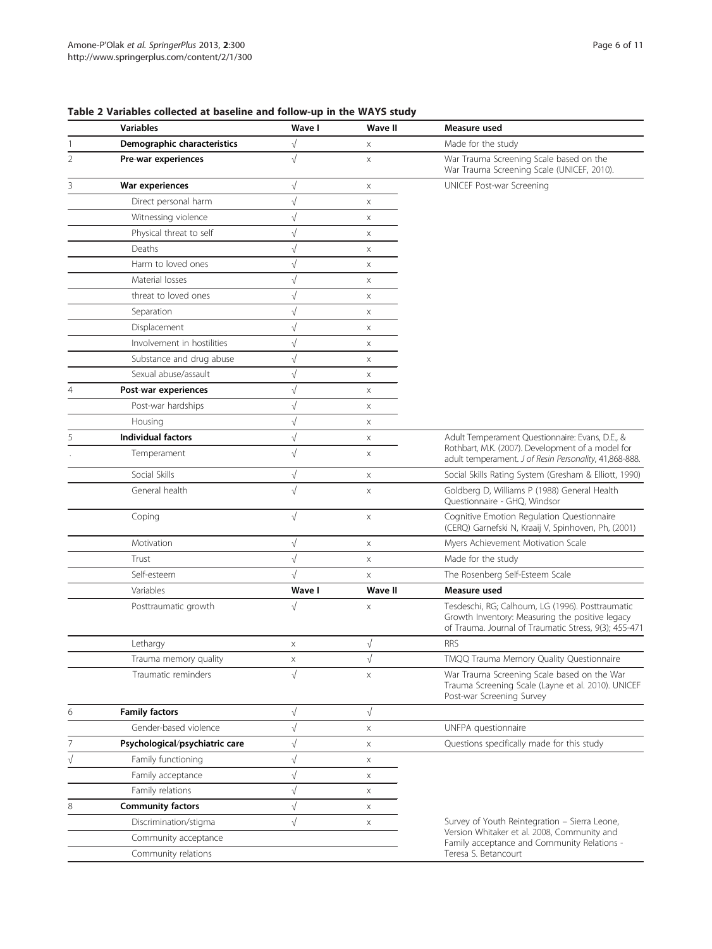# <span id="page-5-0"></span>Table 2 Variables collected at baseline and follow-up in the WAYS study

|   | <b>Variables</b>               | Wave I    | Wave II                   | Measure used                                                                                                                                                 |
|---|--------------------------------|-----------|---------------------------|--------------------------------------------------------------------------------------------------------------------------------------------------------------|
|   | Demographic characteristics    | $\sqrt{}$ | $\boldsymbol{\times}$     | Made for the study                                                                                                                                           |
| 2 | Pre-war experiences            | $\sqrt{}$ | $\boldsymbol{\mathsf{X}}$ | War Trauma Screening Scale based on the<br>War Trauma Screening Scale (UNICEF, 2010).                                                                        |
| 3 | War experiences                | $\sqrt{}$ | $\boldsymbol{\times}$     | UNICEF Post-war Screening                                                                                                                                    |
|   | Direct personal harm           | $\sqrt{}$ | $\mathsf X$               |                                                                                                                                                              |
|   | Witnessing violence            | $\sqrt{}$ | $\boldsymbol{\times}$     |                                                                                                                                                              |
|   | Physical threat to self        |           | X                         |                                                                                                                                                              |
|   | Deaths                         | $\sqrt{}$ | X                         |                                                                                                                                                              |
|   | Harm to loved ones             | $\sqrt{}$ | $\boldsymbol{\times}$     |                                                                                                                                                              |
|   | Material losses                |           | X                         |                                                                                                                                                              |
|   | threat to loved ones           | V         | X                         |                                                                                                                                                              |
|   | Separation                     |           | X                         |                                                                                                                                                              |
|   | Displacement                   | $\sqrt{}$ | X                         |                                                                                                                                                              |
|   | Involvement in hostilities     | $\sqrt{}$ | X                         |                                                                                                                                                              |
|   | Substance and drug abuse       | $\sqrt{}$ | $\times$                  |                                                                                                                                                              |
|   | Sexual abuse/assault           | V         | X                         |                                                                                                                                                              |
| 4 | Post-war experiences           | $\sqrt{}$ | $\boldsymbol{\times}$     |                                                                                                                                                              |
|   | Post-war hardships             |           | $\boldsymbol{\times}$     |                                                                                                                                                              |
|   | Housing                        | $\sqrt{}$ | $\boldsymbol{\times}$     |                                                                                                                                                              |
| 5 | <b>Individual factors</b>      | $\sqrt{}$ | X                         | Adult Temperament Questionnaire: Evans, D.E., &                                                                                                              |
|   | Temperament                    |           | $\boldsymbol{\times}$     | Rothbart, M.K. (2007). Development of a model for<br>adult temperament. J of Resin Personality, 41,868-888.                                                  |
|   | Social Skills                  | $\sqrt{}$ | X                         | Social Skills Rating System (Gresham & Elliott, 1990)                                                                                                        |
|   | General health                 |           | $\mathsf X$               | Goldberg D, Williams P (1988) General Health<br>Questionnaire - GHQ, Windsor                                                                                 |
|   | Coping                         | $\sqrt{}$ | X                         | Cognitive Emotion Regulation Questionnaire<br>(CERQ) Garnefski N, Kraaij V, Spinhoven, Ph, (2001)                                                            |
|   | Motivation                     | $\sqrt{}$ | X                         | Myers Achievement Motivation Scale                                                                                                                           |
|   | Trust                          | $\sqrt{}$ | $\boldsymbol{\times}$     | Made for the study                                                                                                                                           |
|   | Self-esteem                    |           | X                         | The Rosenberg Self-Esteem Scale                                                                                                                              |
|   | Variables                      | Wave I    | <b>Wave II</b>            | Measure used                                                                                                                                                 |
|   | Posttraumatic growth           | $\sqrt{}$ | X                         | Tesdeschi, RG; Calhoum, LG (1996). Posttraumatic<br>Growth Inventory: Measuring the positive legacy<br>of Trauma. Journal of Traumatic Stress, 9(3); 455-471 |
|   | Lethargy                       | X         | $\sqrt{}$                 | <b>RRS</b>                                                                                                                                                   |
|   | Trauma memory quality          | X         | $\sqrt{}$                 | TMQQ Trauma Memory Quality Questionnaire                                                                                                                     |
|   | Traumatic reminders            |           | X                         | War Trauma Screening Scale based on the War<br>Trauma Screening Scale (Layne et al. 2010). UNICEF<br>Post-war Screening Survey                               |
| 6 | <b>Family factors</b>          | $\sqrt{}$ | $\sqrt{}$                 |                                                                                                                                                              |
|   | Gender-based violence          | $\sqrt{}$ | X                         | UNFPA questionnaire                                                                                                                                          |
| 7 | Psychological/psychiatric care | $\sqrt{}$ | X                         | Questions specifically made for this study                                                                                                                   |
|   | Family functioning             | $\sqrt{}$ | $\boldsymbol{\times}$     |                                                                                                                                                              |
|   | Family acceptance              | $\sqrt{}$ | $\boldsymbol{\times}$     |                                                                                                                                                              |
|   | Family relations               | $\sqrt{}$ | X                         |                                                                                                                                                              |
| 8 | <b>Community factors</b>       | $\sqrt{}$ | X                         |                                                                                                                                                              |
|   | Discrimination/stigma          | $\sqrt{}$ | X                         | Survey of Youth Reintegration - Sierra Leone,                                                                                                                |
|   | Community acceptance           |           |                           | Version Whitaker et al. 2008, Community and<br>Family acceptance and Community Relations -                                                                   |
|   | Community relations            |           |                           | Teresa S. Betancourt                                                                                                                                         |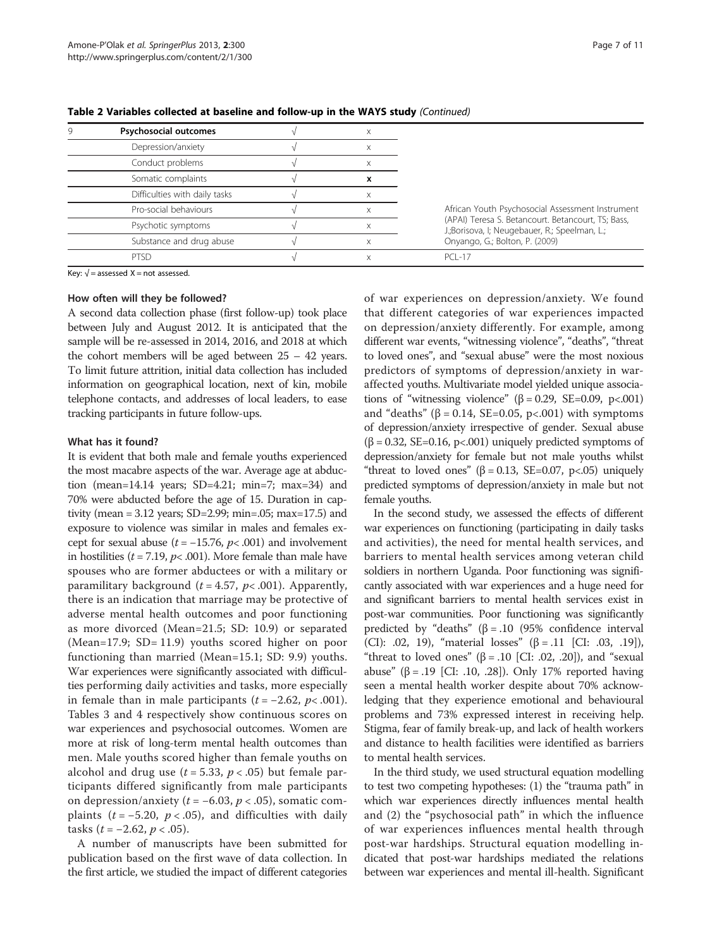| Q | <b>Psychosocial outcomes</b>  |  |                                                                                                     |
|---|-------------------------------|--|-----------------------------------------------------------------------------------------------------|
|   | Depression/anxiety            |  |                                                                                                     |
|   | Conduct problems              |  |                                                                                                     |
|   | Somatic complaints            |  |                                                                                                     |
|   | Difficulties with daily tasks |  |                                                                                                     |
|   | Pro-social behaviours         |  | African Youth Psychosocial Assessment Instrument                                                    |
|   | Psychotic symptoms            |  | (APAI) Teresa S. Betancourt. Betancourt, TS; Bass,<br>J.;Borisova, I; Neugebauer, R.; Speelman, L.; |
|   | Substance and drug abuse      |  | Onyango, G.; Bolton, P. (2009)                                                                      |
|   | <b>PTSD</b>                   |  | $PCI - 17$                                                                                          |

Table 2 Variables collected at baseline and follow-up in the WAYS study (Continued)

Key:  $\sqrt{ }$  = assessed X = not assessed.

#### How often will they be followed?

A second data collection phase (first follow-up) took place between July and August 2012. It is anticipated that the sample will be re-assessed in 2014, 2016, and 2018 at which the cohort members will be aged between 25 – 42 years. To limit future attrition, initial data collection has included information on geographical location, next of kin, mobile telephone contacts, and addresses of local leaders, to ease tracking participants in future follow-ups.

#### What has it found?

It is evident that both male and female youths experienced the most macabre aspects of the war. Average age at abduction (mean=14.14 years; SD=4.21; min=7; max=34) and 70% were abducted before the age of 15. Duration in captivity (mean = 3.12 years;  $SD=2.99$ ; min=.05; max=17.5) and exposure to violence was similar in males and females except for sexual abuse ( $t = -15.76$ ,  $p < .001$ ) and involvement in hostilities ( $t = 7.19$ ,  $p < .001$ ). More female than male have spouses who are former abductees or with a military or paramilitary background ( $t = 4.57$ ,  $p < .001$ ). Apparently, there is an indication that marriage may be protective of adverse mental health outcomes and poor functioning as more divorced (Mean=21.5; SD: 10.9) or separated (Mean=17.9; SD= 11.9) youths scored higher on poor functioning than married (Mean=15.1; SD: 9.9) youths. War experiences were significantly associated with difficulties performing daily activities and tasks, more especially in female than in male participants  $(t = -2.62, p < .001)$ . Tables [3](#page-7-0) and [4](#page-7-0) respectively show continuous scores on war experiences and psychosocial outcomes. Women are more at risk of long-term mental health outcomes than men. Male youths scored higher than female youths on alcohol and drug use ( $t = 5.33$ ,  $p < .05$ ) but female participants differed significantly from male participants on depression/anxiety ( $t = -6.03$ ,  $p < .05$ ), somatic complaints ( $t = -5.20$ ,  $p < .05$ ), and difficulties with daily tasks (*t* = −2.62, *p* < .05).

A number of manuscripts have been submitted for publication based on the first wave of data collection. In the first article, we studied the impact of different categories of war experiences on depression/anxiety. We found that different categories of war experiences impacted on depression/anxiety differently. For example, among different war events, "witnessing violence", "deaths", "threat to loved ones", and "sexual abuse" were the most noxious predictors of symptoms of depression/anxiety in waraffected youths. Multivariate model yielded unique associations of "witnessing violence"  $(\beta = 0.29, \text{ SE} = 0.09, \text{ p} < 0.001)$ and "deaths" ( $\beta$  = 0.14, SE=0.05, p<.001) with symptoms of depression/anxiety irrespective of gender. Sexual abuse  $(\beta = 0.32, SE = 0.16, p < .001)$  uniquely predicted symptoms of depression/anxiety for female but not male youths whilst "threat to loved ones" ( $\beta$  = 0.13, SE=0.07, p<.05) uniquely predicted symptoms of depression/anxiety in male but not female youths.

In the second study, we assessed the effects of different war experiences on functioning (participating in daily tasks and activities), the need for mental health services, and barriers to mental health services among veteran child soldiers in northern Uganda. Poor functioning was significantly associated with war experiences and a huge need for and significant barriers to mental health services exist in post-war communities. Poor functioning was significantly predicted by "deaths" (β = .10 (95% confidence interval (CI): .02, 19), "material losses" ( $\beta$  = .11 [CI: .03, .19]), "threat to loved ones" ( $\beta$  = .10 [CI: .02, .20]), and "sexual abuse" (β = .19 [CI: .10, .28]). Only 17% reported having seen a mental health worker despite about 70% acknowledging that they experience emotional and behavioural problems and 73% expressed interest in receiving help. Stigma, fear of family break-up, and lack of health workers and distance to health facilities were identified as barriers to mental health services.

In the third study, we used structural equation modelling to test two competing hypotheses: (1) the "trauma path" in which war experiences directly influences mental health and (2) the "psychosocial path" in which the influence of war experiences influences mental health through post-war hardships. Structural equation modelling indicated that post-war hardships mediated the relations between war experiences and mental ill-health. Significant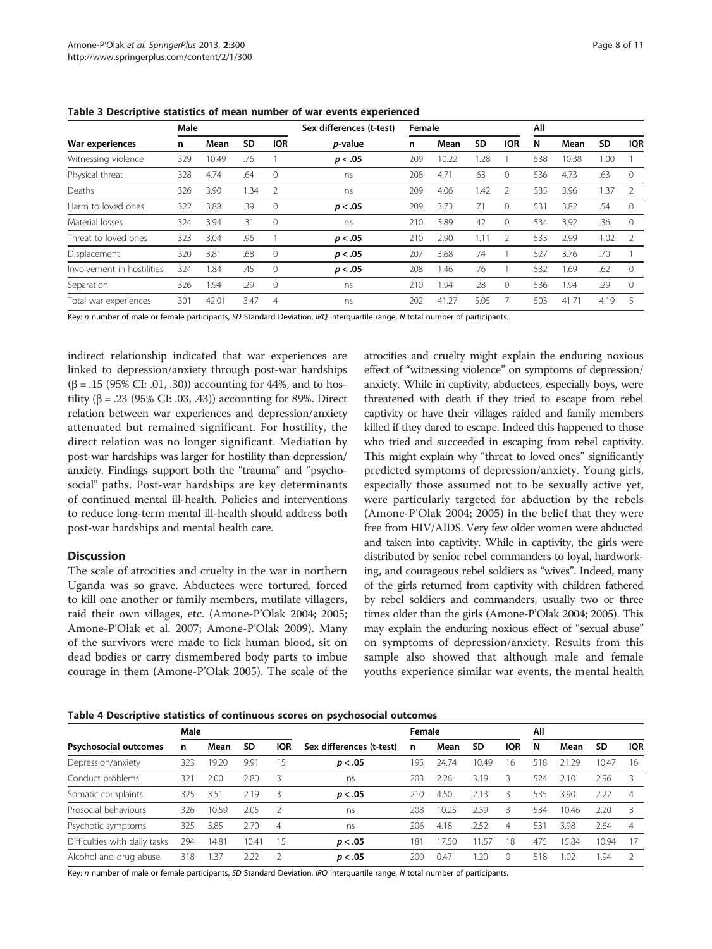|                            | Male |       |           |             | Sex differences (t-test) | Female |       |           |            | All |       |           |               |
|----------------------------|------|-------|-----------|-------------|--------------------------|--------|-------|-----------|------------|-----|-------|-----------|---------------|
| War experiences            | n    | Mean  | <b>SD</b> | <b>IQR</b>  | <i>p</i> -value          | n      | Mean  | <b>SD</b> | <b>IQR</b> | N   | Mean  | <b>SD</b> | IQR           |
| Witnessing violence        | 329  | 10.49 | .76       |             | p < .05                  | 209    | 10.22 | .28       |            | 538 | 10.38 | 1.00      |               |
| Physical threat            | 328  | 4.74  | .64       | $\Omega$    | ns                       | 208    | 4.71  | .63       | 0          | 536 | 4.73  | .63       | 0             |
| Deaths                     | 326  | 3.90  | .34       |             | ns                       | 209    | 4.06  | 1.42      |            | 535 | 3.96  | 1.37      | $\mathcal{L}$ |
| Harm to loved ones         | 322  | 3.88  | .39       | $\Omega$    | p < .05                  | 209    | 3.73  | .71       | 0          | 531 | 3.82  | .54       | 0             |
| Material losses            | 324  | 3.94  | .31       | $\Omega$    | ns                       | 210    | 3.89  | .42       | 0          | 534 | 3.92  | .36       | $\Omega$      |
| Threat to loved ones       | 323  | 3.04  | .96       |             | p < .05                  | 210    | 2.90  | 1.11      |            | 533 | 2.99  | 1.02      | $\mathcal{P}$ |
| Displacement               | 320  | 3.81  | .68       | $\Omega$    | p < .05                  | 207    | 3.68  | .74       |            | 527 | 3.76  | .70       |               |
| Involvement in hostilities | 324  | 1.84  | .45       | $\Omega$    | p < .05                  | 208    | 1.46  | .76       |            | 532 | 1.69  | .62       | $\Omega$      |
| Separation                 | 326  | 1.94  | .29       | $\mathbf 0$ | ns                       | 210    | .94   | .28       | 0          | 536 | .94   | .29       | 0             |
| Total war experiences      | 301  | 42.01 | 3.47      | 4           | ns                       | 202    | 41.27 | 5.05      |            | 503 | 41.71 | 4.19      |               |

<span id="page-7-0"></span>Table 3 Descriptive statistics of mean number of war events experienced

Key: n number of male or female participants, SD Standard Deviation, IRQ interquartile range, N total number of participants.

indirect relationship indicated that war experiences are linked to depression/anxiety through post-war hardships  $(β = .15 (95% CI: .01, .30))$  accounting for 44%, and to hostility (β = .23 (95% CI: .03, .43)) accounting for 89%. Direct relation between war experiences and depression/anxiety attenuated but remained significant. For hostility, the direct relation was no longer significant. Mediation by post-war hardships was larger for hostility than depression/ anxiety. Findings support both the "trauma" and "psychosocial" paths. Post-war hardships are key determinants of continued mental ill-health. Policies and interventions to reduce long-term mental ill-health should address both post-war hardships and mental health care.

# **Discussion**

The scale of atrocities and cruelty in the war in northern Uganda was so grave. Abductees were tortured, forced to kill one another or family members, mutilate villagers, raid their own villages, etc. (Amone-P'Olak [2004; 2005](#page-10-0); Amone-P'Olak et al. [2007;](#page-10-0) Amone-P'Olak [2009\)](#page-10-0). Many of the survivors were made to lick human blood, sit on dead bodies or carry dismembered body parts to imbue courage in them (Amone-P'Olak [2005\)](#page-10-0). The scale of the atrocities and cruelty might explain the enduring noxious effect of "witnessing violence" on symptoms of depression/ anxiety. While in captivity, abductees, especially boys, were threatened with death if they tried to escape from rebel captivity or have their villages raided and family members killed if they dared to escape. Indeed this happened to those who tried and succeeded in escaping from rebel captivity. This might explain why "threat to loved ones" significantly predicted symptoms of depression/anxiety. Young girls, especially those assumed not to be sexually active yet, were particularly targeted for abduction by the rebels (Amone-P'Olak [2004; 2005](#page-10-0)) in the belief that they were free from HIV/AIDS. Very few older women were abducted and taken into captivity. While in captivity, the girls were distributed by senior rebel commanders to loyal, hardworking, and courageous rebel soldiers as "wives". Indeed, many of the girls returned from captivity with children fathered by rebel soldiers and commanders, usually two or three times older than the girls (Amone-P'Olak [2004; 2005](#page-10-0)). This may explain the enduring noxious effect of "sexual abuse" on symptoms of depression/anxiety. Results from this sample also showed that although male and female youths experience similar war events, the mental health

| Table 4 Descriptive statistics of continuous scores on psychosocial outcomes |
|------------------------------------------------------------------------------|
|------------------------------------------------------------------------------|

|                               | Male |       |       |                | Sex differences (t-test) | Female |       |                 |            | All |       |       |            |
|-------------------------------|------|-------|-------|----------------|--------------------------|--------|-------|-----------------|------------|-----|-------|-------|------------|
| <b>Psychosocial outcomes</b>  | n    | Mean  | SD    | IQR            |                          | n      | Mean  | SD              | <b>IQR</b> | N   | Mean  | SD    | <b>IOR</b> |
| Depression/anxiety            | 323  | 9.20  | 9.91  | 15             | p < .05                  | 195    | 24.74 | 10.49           | 16         | 518 | 21.29 | 10.47 | 16         |
| Conduct problems              | 321  | 2.00  | 2.80  | 3              | ns                       | 203    | 2.26  | 3.19            |            | 524 | 2.10  | 2.96  |            |
| Somatic complaints            | 325  | 3.51  | 2.19  | 3              | p < .05                  | 210    | 4.50  | 2.13            |            | 535 | 3.90  | 2.22  | 4          |
| Prosocial behaviours          | 326  | 10.59 | 2.05  |                | ns                       | 208    | 10.25 | 2.39            |            | 534 | 10.46 | 2.20  |            |
| Psychotic symptoms            | 325  | 3.85  | 2.70  | $\overline{4}$ | ns                       | 206    | 4.18  | 2.52            | 4          | 531 | 3.98  | 2.64  | 4          |
| Difficulties with daily tasks | 294  | 4.81  | 10.41 | 15             | p < .05                  | 181    | 7.50  | 11.57           | 18         | 475 | 15.84 | 10.94 | 17         |
| Alcohol and drug abuse        | 318  | .37   | 2.22  |                | p < .05                  | 200    | 0.47  | $\overline{20}$ |            | 518 | 1.02  | .94   |            |
|                               |      |       |       |                |                          |        |       |                 |            |     |       |       |            |

Key: n number of male or female participants, SD Standard Deviation, IRQ interquartile range, N total number of participants.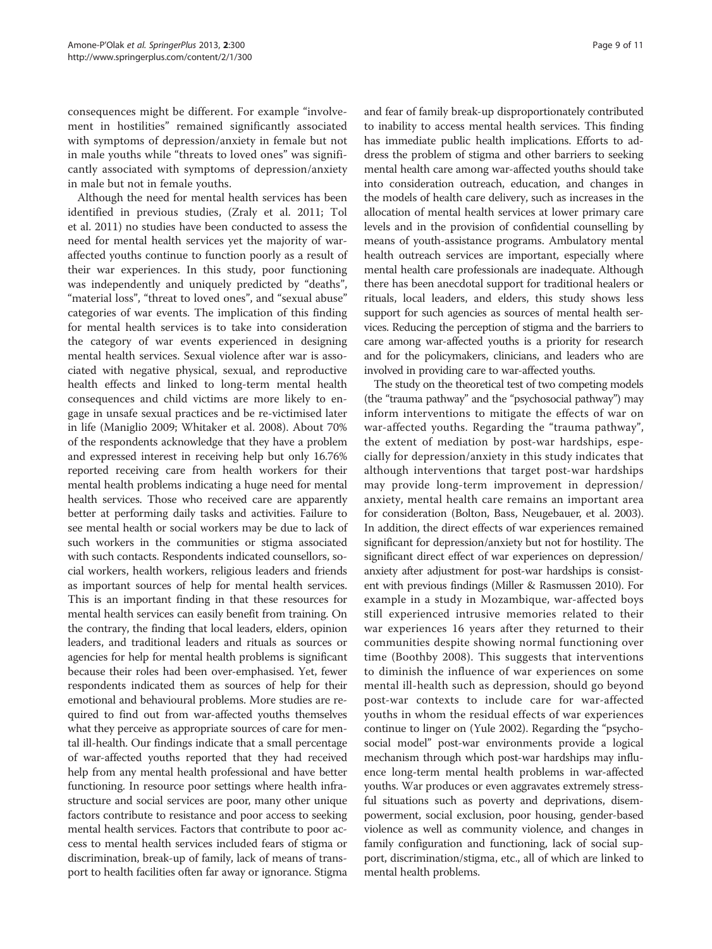consequences might be different. For example "involvement in hostilities" remained significantly associated with symptoms of depression/anxiety in female but not in male youths while "threats to loved ones" was significantly associated with symptoms of depression/anxiety in male but not in female youths.

Although the need for mental health services has been identified in previous studies, (Zraly et al. [2011](#page-10-0); Tol et al. [2011\)](#page-10-0) no studies have been conducted to assess the need for mental health services yet the majority of waraffected youths continue to function poorly as a result of their war experiences. In this study, poor functioning was independently and uniquely predicted by "deaths", "material loss", "threat to loved ones", and "sexual abuse" categories of war events. The implication of this finding for mental health services is to take into consideration the category of war events experienced in designing mental health services. Sexual violence after war is associated with negative physical, sexual, and reproductive health effects and linked to long-term mental health consequences and child victims are more likely to engage in unsafe sexual practices and be re-victimised later in life (Maniglio [2009](#page-10-0); Whitaker et al. [2008](#page-10-0)). About 70% of the respondents acknowledge that they have a problem and expressed interest in receiving help but only 16.76% reported receiving care from health workers for their mental health problems indicating a huge need for mental health services. Those who received care are apparently better at performing daily tasks and activities. Failure to see mental health or social workers may be due to lack of such workers in the communities or stigma associated with such contacts. Respondents indicated counsellors, social workers, health workers, religious leaders and friends as important sources of help for mental health services. This is an important finding in that these resources for mental health services can easily benefit from training. On the contrary, the finding that local leaders, elders, opinion leaders, and traditional leaders and rituals as sources or agencies for help for mental health problems is significant because their roles had been over-emphasised. Yet, fewer respondents indicated them as sources of help for their emotional and behavioural problems. More studies are required to find out from war-affected youths themselves what they perceive as appropriate sources of care for mental ill-health. Our findings indicate that a small percentage of war-affected youths reported that they had received help from any mental health professional and have better functioning. In resource poor settings where health infrastructure and social services are poor, many other unique factors contribute to resistance and poor access to seeking mental health services. Factors that contribute to poor access to mental health services included fears of stigma or discrimination, break-up of family, lack of means of transport to health facilities often far away or ignorance. Stigma

and fear of family break-up disproportionately contributed to inability to access mental health services. This finding has immediate public health implications. Efforts to address the problem of stigma and other barriers to seeking mental health care among war-affected youths should take into consideration outreach, education, and changes in the models of health care delivery, such as increases in the allocation of mental health services at lower primary care levels and in the provision of confidential counselling by means of youth-assistance programs. Ambulatory mental health outreach services are important, especially where mental health care professionals are inadequate. Although there has been anecdotal support for traditional healers or rituals, local leaders, and elders, this study shows less support for such agencies as sources of mental health services. Reducing the perception of stigma and the barriers to care among war-affected youths is a priority for research and for the policymakers, clinicians, and leaders who are involved in providing care to war-affected youths.

The study on the theoretical test of two competing models (the "trauma pathway" and the "psychosocial pathway") may inform interventions to mitigate the effects of war on war-affected youths. Regarding the "trauma pathway", the extent of mediation by post-war hardships, especially for depression/anxiety in this study indicates that although interventions that target post-war hardships may provide long-term improvement in depression/ anxiety, mental health care remains an important area for consideration (Bolton, Bass, Neugebauer, et al. [2003](#page-10-0)). In addition, the direct effects of war experiences remained significant for depression/anxiety but not for hostility. The significant direct effect of war experiences on depression/ anxiety after adjustment for post-war hardships is consistent with previous findings (Miller & Rasmussen [2010\)](#page-10-0). For example in a study in Mozambique, war-affected boys still experienced intrusive memories related to their war experiences 16 years after they returned to their communities despite showing normal functioning over time (Boothby [2008\)](#page-10-0). This suggests that interventions to diminish the influence of war experiences on some mental ill-health such as depression, should go beyond post-war contexts to include care for war-affected youths in whom the residual effects of war experiences continue to linger on (Yule [2002\)](#page-10-0). Regarding the "psychosocial model" post-war environments provide a logical mechanism through which post-war hardships may influence long-term mental health problems in war-affected youths. War produces or even aggravates extremely stressful situations such as poverty and deprivations, disempowerment, social exclusion, poor housing, gender-based violence as well as community violence, and changes in family configuration and functioning, lack of social support, discrimination/stigma, etc., all of which are linked to mental health problems.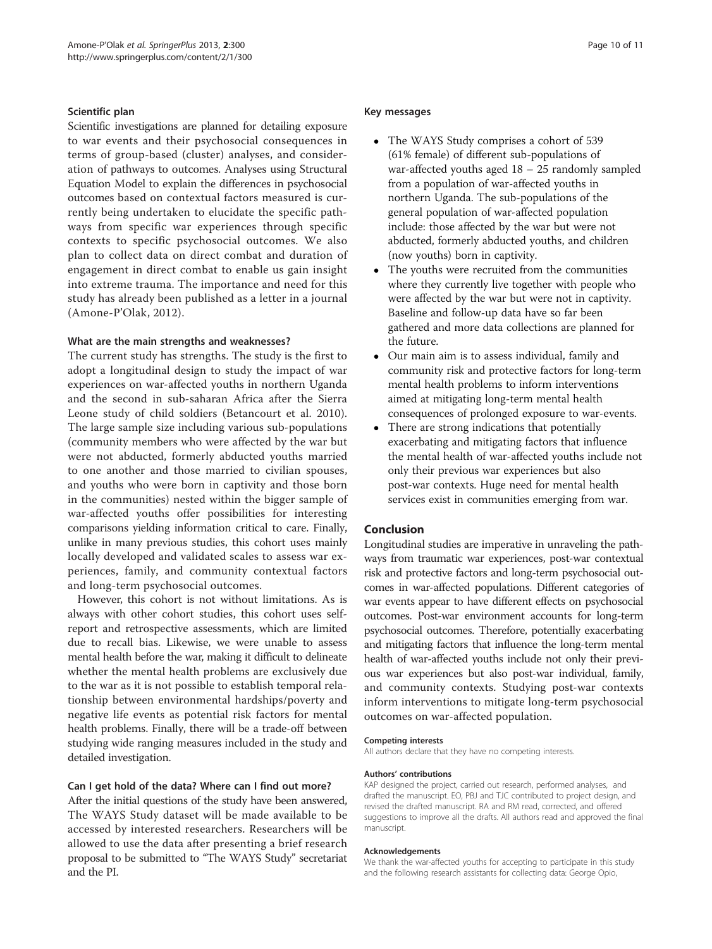## Scientific plan

Scientific investigations are planned for detailing exposure to war events and their psychosocial consequences in terms of group-based (cluster) analyses, and consideration of pathways to outcomes. Analyses using Structural Equation Model to explain the differences in psychosocial outcomes based on contextual factors measured is currently being undertaken to elucidate the specific pathways from specific war experiences through specific contexts to specific psychosocial outcomes. We also plan to collect data on direct combat and duration of engagement in direct combat to enable us gain insight into extreme trauma. The importance and need for this study has already been published as a letter in a journal (Amone-P'Olak, [2012\)](#page-10-0).

## What are the main strengths and weaknesses?

The current study has strengths. The study is the first to adopt a longitudinal design to study the impact of war experiences on war-affected youths in northern Uganda and the second in sub-saharan Africa after the Sierra Leone study of child soldiers (Betancourt et al. [2010](#page-10-0)). The large sample size including various sub-populations (community members who were affected by the war but were not abducted, formerly abducted youths married to one another and those married to civilian spouses, and youths who were born in captivity and those born in the communities) nested within the bigger sample of war-affected youths offer possibilities for interesting comparisons yielding information critical to care. Finally, unlike in many previous studies, this cohort uses mainly locally developed and validated scales to assess war experiences, family, and community contextual factors and long-term psychosocial outcomes.

However, this cohort is not without limitations. As is always with other cohort studies, this cohort uses selfreport and retrospective assessments, which are limited due to recall bias. Likewise, we were unable to assess mental health before the war, making it difficult to delineate whether the mental health problems are exclusively due to the war as it is not possible to establish temporal relationship between environmental hardships/poverty and negative life events as potential risk factors for mental health problems. Finally, there will be a trade-off between studying wide ranging measures included in the study and detailed investigation.

# Can I get hold of the data? Where can I find out more?

After the initial questions of the study have been answered, The WAYS Study dataset will be made available to be accessed by interested researchers. Researchers will be allowed to use the data after presenting a brief research proposal to be submitted to "The WAYS Study" secretariat and the PI.

#### Key messages

- The WAYS Study comprises a cohort of 539 (61% female) of different sub-populations of war-affected youths aged 18 – 25 randomly sampled from a population of war-affected youths in northern Uganda. The sub-populations of the general population of war-affected population include: those affected by the war but were not abducted, formerly abducted youths, and children (now youths) born in captivity.
- The youths were recruited from the communities where they currently live together with people who were affected by the war but were not in captivity. Baseline and follow-up data have so far been gathered and more data collections are planned for the future.
- Our main aim is to assess individual, family and community risk and protective factors for long-term mental health problems to inform interventions aimed at mitigating long-term mental health consequences of prolonged exposure to war-events.
- There are strong indications that potentially exacerbating and mitigating factors that influence the mental health of war-affected youths include not only their previous war experiences but also post-war contexts. Huge need for mental health services exist in communities emerging from war.

# Conclusion

Longitudinal studies are imperative in unraveling the pathways from traumatic war experiences, post-war contextual risk and protective factors and long-term psychosocial outcomes in war-affected populations. Different categories of war events appear to have different effects on psychosocial outcomes. Post-war environment accounts for long-term psychosocial outcomes. Therefore, potentially exacerbating and mitigating factors that influence the long-term mental health of war-affected youths include not only their previous war experiences but also post-war individual, family, and community contexts. Studying post-war contexts inform interventions to mitigate long-term psychosocial outcomes on war-affected population.

#### Competing interests

All authors declare that they have no competing interests.

#### Authors' contributions

KAP designed the project, carried out research, performed analyses, and drafted the manuscript. EO, PBJ and TJC contributed to project design, and revised the drafted manuscript. RA and RM read, corrected, and offered suggestions to improve all the drafts. All authors read and approved the final manuscript.

#### Acknowledgements

We thank the war-affected youths for accepting to participate in this study and the following research assistants for collecting data: George Opio,